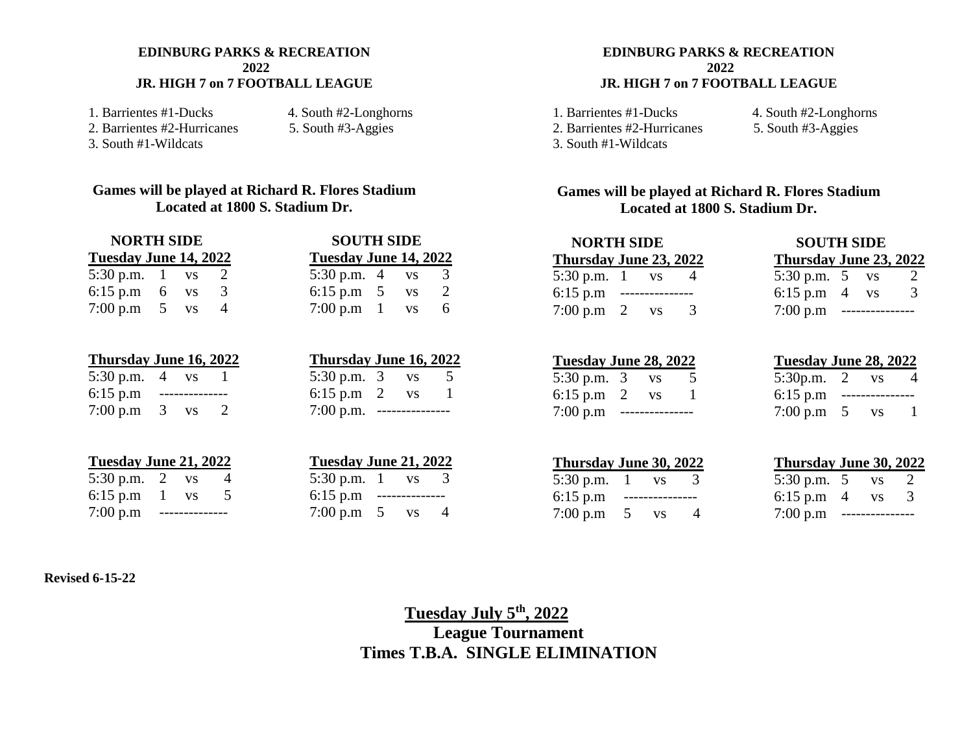#### **EDINBURG PARKS & RECREATION 2022 JR. HIGH 7 on 7 FOOTBALL LEAGUE**

1. Barrientes #1-Ducks 4. South #2-Longhorns<br>
2. Barrientes #2-Hurricanes 5. South #3-Aggies 2. Barrientes #2-Hurricanes 3. South #1-Wildcats

#### **Games will be played at Richard R. Flores Stadium Located at 1800 S. Stadium Dr.**

| <b>NORTH SIDE</b>           |  |  |  | <b>SOUTH SIDE</b>            |  |
|-----------------------------|--|--|--|------------------------------|--|
| Tuesday June 14, 2022       |  |  |  | <b>Tuesday June 14, 2022</b> |  |
| 5:30 p.m. $1 \text{ vs } 2$ |  |  |  | 5:30 p.m. $4$ vs 3           |  |
| 6:15 p.m 6 $\text{vs}$ 3    |  |  |  | 6:15 p.m $5$ vs 2            |  |
| 7:00 p.m $5 \text{ vs}$     |  |  |  | 7:00 p.m $1$ vs 6            |  |

| <u>Thursday June 16, 2022</u>     |  | Thursday June 16, 2022       |  |                |
|-----------------------------------|--|------------------------------|--|----------------|
| 5:30 p.m. $4 \text{ vs.}$         |  | 5:30 p.m. $3 \text{ vs }$    |  | 5 <sup>5</sup> |
| $6:15 \text{ p.m}$ -------------- |  | 6:15 p.m $2 \text{ vs }$     |  |                |
| 7:00 p.m $\,3$ vs                 |  | $7:00$ p.m. ---------------- |  |                |

| Tuesday June 21, 2022     |  | Tuesday June 21, 2022       |  |  |
|---------------------------|--|-----------------------------|--|--|
| 5:30 p.m. 2 $\,$ vs       |  | 5:30 p.m. $1 \text{ vs } 3$ |  |  |
| 6:15 p.m $1$ vs           |  | $6:15$ p.m ---------------  |  |  |
| $7:00 \text{ p.m } \dots$ |  | 7:00 p.m $5$ vs $4$         |  |  |

| <b>SOUTH SIDE</b>            |   |           |                       |  |  |  |  |
|------------------------------|---|-----------|-----------------------|--|--|--|--|
| <b>Tuesday June 14, 2022</b> |   |           |                       |  |  |  |  |
| $\frac{30}{2}$ p.m.          | 4 | <b>VS</b> | 3                     |  |  |  |  |
| $6:15$ p.m                   | 5 | <b>VS</b> | $\mathcal{D}_{\cdot}$ |  |  |  |  |
| 0.00~p.m                     | L | <b>VS</b> | 6                     |  |  |  |  |

| Thursday June 16, 2022 |               |           |    |
|------------------------|---------------|-----------|----|
| $5:30$ p.m.            | - 3           | VS        | 5. |
| $6:15$ p.m             | $\mathcal{L}$ | <b>VS</b> | -1 |
| $7:00$ p.m.            |               |           |    |

| Tuesday June 21, 2022 |   |           |   |
|-----------------------|---|-----------|---|
| $5:30$ p.m. 1         |   | <b>VS</b> | 3 |
| $6:15$ p.m            |   |           |   |
| 7:00 p.m              | 5 | <b>VS</b> | Δ |

#### **EDINBURG PARKS & RECREATION 2022 JR. HIGH 7 on 7 FOOTBALL LEAGUE**

2. Barrientes #2-Hurricanes

3. South #1-Wildcats

1. Barrientes #1-Ducks 4. South #2-Longhorns<br>
2. Barrientes #2-Hurricanes 5. South #3-Aggies

#### **Games will be played at Richard R. Flores Stadium Located at 1800 S. Stadium Dr.**

| <b>NORTH SIDE</b>         |  |                  |               | <b>SOUTH SIDE</b>                   |   |  |  |  |
|---------------------------|--|------------------|---------------|-------------------------------------|---|--|--|--|
| Thursday June 23, 2022    |  |                  |               | Thursday June 23, 2022              |   |  |  |  |
| 5:30 p.m. $1 \text{ vs }$ |  |                  |               | 5:30 p.m. $5 \text{ vs }$           |   |  |  |  |
| 6:15 p.m                  |  | ________________ |               | 6:15 p.m $4$ vs                     | 3 |  |  |  |
| 7:00 p.m 2 vs             |  |                  | $\mathcal{L}$ | $7:00 \text{ p.m }$ --------------- |   |  |  |  |

| Tuesday June 28, 2022                             |  | Tuesday June 28, 2022       |  |                |
|---------------------------------------------------|--|-----------------------------|--|----------------|
| 5:30 p.m. $3 \text{ vs.}$                         |  | 5:30p.m. $2 \text{ vs.}$    |  | $\overline{4}$ |
| 6:15 p.m $2 \text{ vs }$                          |  | $6:15$ p.m ---------------- |  |                |
| $7:00 \text{ p.m } \dots \dots \dots \dots \dots$ |  | 7:00 p.m $5$ vs             |  |                |

| Tuesday June 28, 2022 |     |           |   |  |  |  |  |
|-----------------------|-----|-----------|---|--|--|--|--|
| 5:30p.m.              | - 2 | <b>VS</b> | 4 |  |  |  |  |
| $6:15$ p.m            |     |           |   |  |  |  |  |
| 7:00 p.m              | 5   | <b>VS</b> | 1 |  |  |  |  |
|                       |     |           |   |  |  |  |  |

| Thursday June 30, 2022      |  | Thursday June 30, 202     |  |  |
|-----------------------------|--|---------------------------|--|--|
| 5:30 p.m. $1$ vs            |  | 5:30 p.m. $5$ vs 2        |  |  |
| $6:15$ p.m ---------------- |  | 6:15 p.m $4$ vs 3         |  |  |
| 7:00 p.m $5 \text{ vs}$     |  | $7:00 \text{ p.m } \dots$ |  |  |

#### **Thursday June 30, 2022 Thursday June 30, 2022**

| 5:30 p.m. $5$ | VS  | $\mathcal{L}$ |
|---------------|-----|---------------|
| 6:15 p.m      | VS. | 3             |
| 7:00 p.m      |     |               |

#### **Revised 6-15-22**

### **Tuesday July 5th, 2022 League Tournament Times T.B.A. SINGLE ELIMINATION**